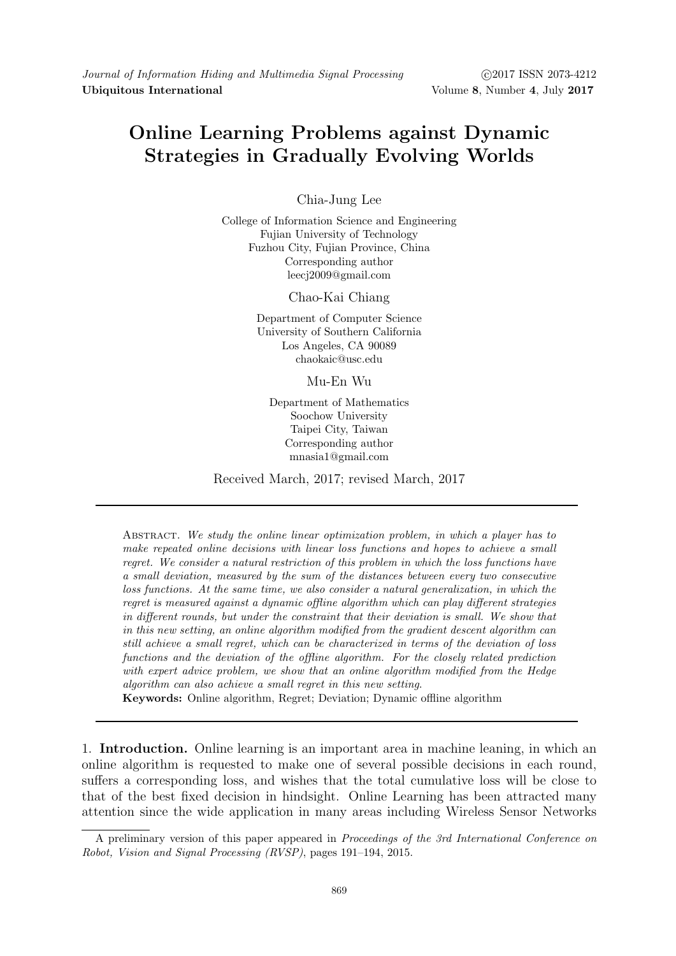# Online Learning Problems against Dynamic Strategies in Gradually Evolving Worlds

Chia-Jung Lee

College of Information Science and Engineering Fujian University of Technology Fuzhou City, Fujian Province, China Corresponding author leecj2009@gmail.com

Chao-Kai Chiang

Department of Computer Science University of Southern California Los Angeles, CA 90089 chaokaic@usc.edu

Mu-En Wu

Department of Mathematics Soochow University Taipei City, Taiwan Corresponding author mnasia1@gmail.com

Received March, 2017; revised March, 2017

Abstract. We study the online linear optimization problem, in which a player has to make repeated online decisions with linear loss functions and hopes to achieve a small regret. We consider a natural restriction of this problem in which the loss functions have a small deviation, measured by the sum of the distances between every two consecutive loss functions. At the same time, we also consider a natural generalization, in which the regret is measured against a dynamic offline algorithm which can play different strategies in different rounds, but under the constraint that their deviation is small. We show that in this new setting, an online algorithm modified from the gradient descent algorithm can still achieve a small regret, which can be characterized in terms of the deviation of loss functions and the deviation of the offline algorithm. For the closely related prediction with expert advice problem, we show that an online algorithm modified from the Hedge algorithm can also achieve a small regret in this new setting.

Keywords: Online algorithm, Regret; Deviation; Dynamic offline algorithm

1. Introduction. Online learning is an important area in machine leaning, in which an online algorithm is requested to make one of several possible decisions in each round, suffers a corresponding loss, and wishes that the total cumulative loss will be close to that of the best fixed decision in hindsight. Online Learning has been attracted many attention since the wide application in many areas including Wireless Sensor Networks

A preliminary version of this paper appeared in Proceedings of the 3rd International Conference on Robot, Vision and Signal Processing (RVSP), pages 191–194, 2015.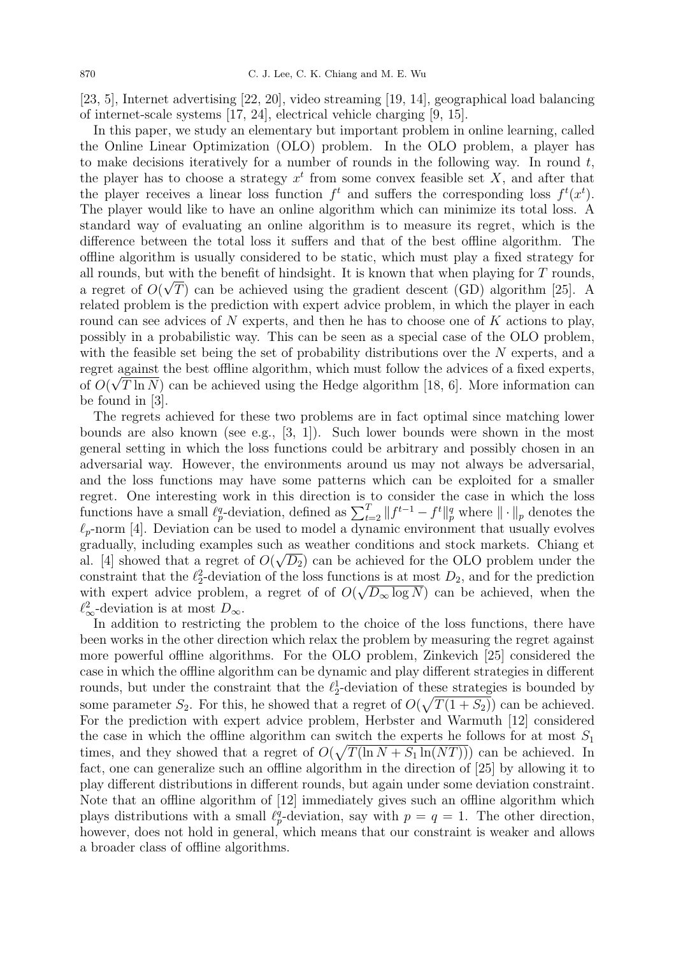[23, 5], Internet advertising [22, 20], video streaming [19, 14], geographical load balancing of internet-scale systems [17, 24], electrical vehicle charging [9, 15].

In this paper, we study an elementary but important problem in online learning, called the Online Linear Optimization (OLO) problem. In the OLO problem, a player has to make decisions iteratively for a number of rounds in the following way. In round  $t$ , the player has to choose a strategy  $x^t$  from some convex feasible set X, and after that the player receives a linear loss function  $f^t$  and suffers the corresponding loss  $f^t(x^t)$ . The player would like to have an online algorithm which can minimize its total loss. A standard way of evaluating an online algorithm is to measure its regret, which is the difference between the total loss it suffers and that of the best offline algorithm. The offline algorithm is usually considered to be static, which must play a fixed strategy for all rounds, but with the benefit of hindsight. It is known that when playing for T rounds, a regret of  $O(\sqrt{T})$  can be achieved using the gradient descent (GD) algorithm [25]. A related problem is the prediction with expert advice problem, in which the player in each round can see advices of N experts, and then he has to choose one of  $K$  actions to play, possibly in a probabilistic way. This can be seen as a special case of the OLO problem, with the feasible set being the set of probability distributions over the N experts, and a regret against the best offline algorithm, which must follow the advices of a fixed experts, √ of  $O(\sqrt{T} \ln N)$  can be achieved using the Hedge algorithm [18, 6]. More information can be found in [3].

The regrets achieved for these two problems are in fact optimal since matching lower bounds are also known (see e.g.,  $[3, 1]$ ). Such lower bounds were shown in the most general setting in which the loss functions could be arbitrary and possibly chosen in an adversarial way. However, the environments around us may not always be adversarial, and the loss functions may have some patterns which can be exploited for a smaller regret. One interesting work in this direction is to consider the case in which the loss functions have a small  $\ell_p^q$ -deviation, defined as  $\sum_{t=2}^T \|f^{t-1} - f^t\|_p^q$  where  $\|\cdot\|_p$  denotes the  $\ell_p$ -norm [4]. Deviation can be used to model a dynamic environment that usually evolves gradually, including examples such as weather conditions and stock markets. Chiang et al. [4] showed that a regret of  $O(\sqrt{D_2})$  can be achieved for the OLO problem under the constraint that the  $\ell_2^2$ -deviation of the loss functions is at most  $D_2$ , and for the prediction with expert advice problem, a regret of of  $O(\sqrt{D_{\infty} \log N})$  can be achieved, when the  $\ell_{\infty}^2$ -deviation is at most  $D_{\infty}$ .

In addition to restricting the problem to the choice of the loss functions, there have been works in the other direction which relax the problem by measuring the regret against more powerful offline algorithms. For the OLO problem, Zinkevich [25] considered the case in which the offline algorithm can be dynamic and play different strategies in different rounds, but under the constraint that the  $\ell_2^1$ -deviation of these strategies is bounded by some parameter  $S_2$ . For this, he showed that a regret of  $O(\sqrt{T(1+S_2)})$  can be achieved. For the prediction with expert advice problem, Herbster and Warmuth [12] considered the case in which the offline algorithm can switch the experts he follows for at most  $S_1$ times, and they showed that a regret of  $O(\sqrt{T(\ln N + S_1 \ln(NT))})$  can be achieved. In fact, one can generalize such an offline algorithm in the direction of [25] by allowing it to play different distributions in different rounds, but again under some deviation constraint. Note that an offline algorithm of [12] immediately gives such an offline algorithm which plays distributions with a small  $\ell_p^q$ -deviation, say with  $p = q = 1$ . The other direction, however, does not hold in general, which means that our constraint is weaker and allows a broader class of offline algorithms.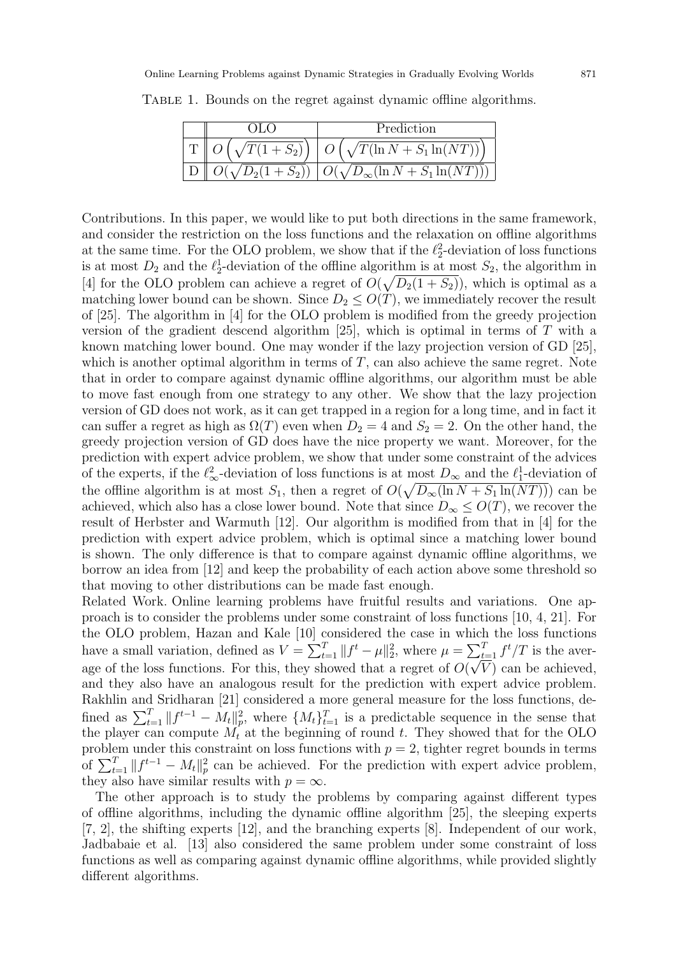|                | Prediction                                             |
|----------------|--------------------------------------------------------|
|                | $\sqrt{T(1+S_2)}$   $O(\sqrt{T(\ln N + S_1 \ln(NT))})$ |
| $D_2(1 + S_2)$ | $\sqrt{D_{\infty}}(\ln N + 1)$<br>$S_1 \ln (NT)$       |

TABLE 1. Bounds on the regret against dynamic offline algorithms.

Contributions. In this paper, we would like to put both directions in the same framework, and consider the restriction on the loss functions and the relaxation on offline algorithms at the same time. For the OLO problem, we show that if the  $\ell_2^2$ -deviation of loss functions is at most  $D_2$  and the  $\ell_2^1$ -deviation of the offline algorithm is at most  $S_2$ , the algorithm in [4] for the OLO problem can achieve a regret of  $O(\sqrt{D_2(1+S_2)})$ , which is optimal as a matching lower bound can be shown. Since  $D_2 \leq O(T)$ , we immediately recover the result of [25]. The algorithm in [4] for the OLO problem is modified from the greedy projection version of the gradient descend algorithm [25], which is optimal in terms of T with a known matching lower bound. One may wonder if the lazy projection version of GD [25], which is another optimal algorithm in terms of  $T$ , can also achieve the same regret. Note that in order to compare against dynamic offline algorithms, our algorithm must be able to move fast enough from one strategy to any other. We show that the lazy projection version of GD does not work, as it can get trapped in a region for a long time, and in fact it can suffer a regret as high as  $\Omega(T)$  even when  $D_2 = 4$  and  $S_2 = 2$ . On the other hand, the greedy projection version of GD does have the nice property we want. Moreover, for the prediction with expert advice problem, we show that under some constraint of the advices of the experts, if the  $\ell_{\infty}^2$ -deviation of loss functions is at most  $D_{\infty}$  and the  $\ell_1^1$ -deviation of the offline algorithm is at most  $S_1$ , then a regret of  $O(\sqrt{D_{\infty}(\ln N + S_1 \ln(NT))})$  can be achieved, which also has a close lower bound. Note that since  $D_{\infty} \leq O(T)$ , we recover the result of Herbster and Warmuth [12]. Our algorithm is modified from that in [4] for the prediction with expert advice problem, which is optimal since a matching lower bound is shown. The only difference is that to compare against dynamic offline algorithms, we borrow an idea from [12] and keep the probability of each action above some threshold so that moving to other distributions can be made fast enough.

Related Work. Online learning problems have fruitful results and variations. One approach is to consider the problems under some constraint of loss functions [10, 4, 21]. For the OLO problem, Hazan and Kale [10] considered the case in which the loss functions have a small variation, defined as  $V = \sum_{t=1}^{T} ||f^t - \mu||_2^2$ , where  $\mu = \sum_{t=1}^{T} f^t / T$  is the average of the loss functions. For this, they showed that a regret of  $O(\sqrt{V})$  can be achieved, and they also have an analogous result for the prediction with expert advice problem. Rakhlin and Sridharan [21] considered a more general measure for the loss functions, defined as  $\sum_{t=1}^T ||f^{t-1} - M_t||_p^2$ , where  $\{M_t\}_{t=1}^T$  is a predictable sequence in the sense that the player can compute  $M_t$  at the beginning of round t. They showed that for the OLO problem under this constraint on loss functions with  $p = 2$ , tighter regret bounds in terms of  $\sum_{t=1}^{T} ||f^{t-1} - M_t||_p^2$  can be achieved. For the prediction with expert advice problem, they also have similar results with  $p = \infty$ .

The other approach is to study the problems by comparing against different types of offline algorithms, including the dynamic offline algorithm [25], the sleeping experts [7, 2], the shifting experts [12], and the branching experts [8]. Independent of our work, Jadbabaie et al. [13] also considered the same problem under some constraint of loss functions as well as comparing against dynamic offline algorithms, while provided slightly different algorithms.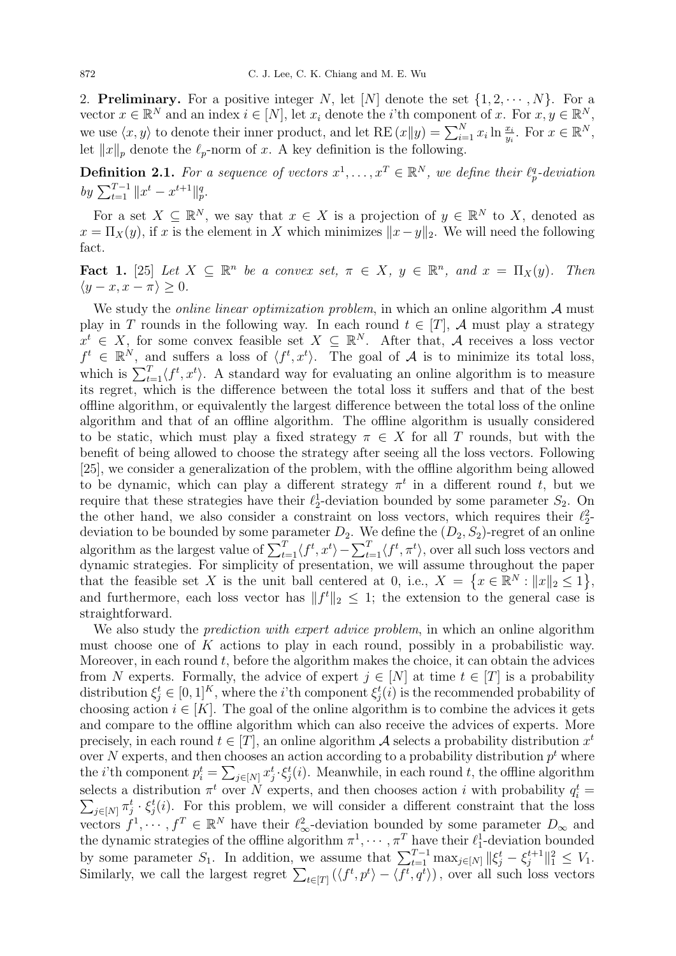2. **Preliminary.** For a positive integer N, let [N] denote the set  $\{1, 2, \dots, N\}$ . For a vector  $x \in \mathbb{R}^N$  and an index  $i \in [N]$ , let  $x_i$  denote the *i*'th component of x. For  $x, y \in \mathbb{R}^N$ , we use  $\langle x, y \rangle$  to denote their inner product, and let RE  $(x||y) = \sum_{i=1}^{N} x_i \ln \frac{x_i}{y_i}$ . For  $x \in \mathbb{R}^N$ , let  $||x||_p$  denote the  $\ell_p$ -norm of x. A key definition is the following.

**Definition 2.1.** For a sequence of vectors  $x^1, \ldots, x^T \in \mathbb{R}^N$ , we define their  $\ell_p^q$ -deviation by  $\sum_{t=1}^{T-1} ||x^t - x^{t+1}||_p^q$ .

For a set  $X \subseteq \mathbb{R}^N$ , we say that  $x \in X$  is a projection of  $y \in \mathbb{R}^N$  to X, denoted as  $x = \prod_X(y)$ , if x is the element in X which minimizes  $||x-y||_2$ . We will need the following fact.

Fact 1. [25] Let  $X \subseteq \mathbb{R}^n$  be a convex set,  $\pi \in X$ ,  $y \in \mathbb{R}^n$ , and  $x = \Pi_X(y)$ . Then  $\langle y - x, x - \pi \rangle > 0.$ 

We study the *online linear optimization problem*, in which an online algorithm  $A$  must play in T rounds in the following way. In each round  $t \in [T]$ , A must play a strategy  $x^t \in X$ , for some convex feasible set  $X \subseteq \mathbb{R}^N$ . After that, A receives a loss vector  $f^t \in \mathbb{R}^N$ , and suffers a loss of  $\langle f^t, x^t \rangle$ . The goal of A is to minimize its total loss, which is  $\sum_{t=1}^{T} \langle f^t, x^t \rangle$ . A standard way for evaluating an online algorithm is to measure its regret, which is the difference between the total loss it suffers and that of the best offline algorithm, or equivalently the largest difference between the total loss of the online algorithm and that of an offline algorithm. The offline algorithm is usually considered to be static, which must play a fixed strategy  $\pi \in X$  for all T rounds, but with the benefit of being allowed to choose the strategy after seeing all the loss vectors. Following [25], we consider a generalization of the problem, with the offline algorithm being allowed to be dynamic, which can play a different strategy  $\pi^t$  in a different round t, but we require that these strategies have their  $\ell_2^1$ -deviation bounded by some parameter  $S_2$ . On the other hand, we also consider a constraint on loss vectors, which requires their  $\ell_2^2$ deviation to be bounded by some parameter  $D_2$ . We define the  $(D_2, S_2)$ -regret of an online algorithm as the largest value of  $\sum_{t=1}^{T} \langle f^t, x^t \rangle - \sum_{t=1}^{T} \langle f^t, \pi^t \rangle$ , over all such loss vectors and dynamic strategies. For simplicity of presentation, we will assume throughout the paper that the feasible set X is the unit ball centered at 0, i.e.,  $X = \{x \in \mathbb{R}^N : ||x||_2 \le 1\},\$ and furthermore, each loss vector has  $||f^t||_2 \leq 1$ ; the extension to the general case is straightforward.

We also study the *prediction with expert advice problem*, in which an online algorithm must choose one of K actions to play in each round, possibly in a probabilistic way. Moreover, in each round  $t$ , before the algorithm makes the choice, it can obtain the advices from N experts. Formally, the advice of expert  $j \in [N]$  at time  $t \in [T]$  is a probability distribution  $\xi_j^t \in [0,1]^K$ , where the *i*'th component  $\xi_j^t(i)$  is the recommended probability of choosing action  $i \in [K]$ . The goal of the online algorithm is to combine the advices it gets and compare to the offline algorithm which can also receive the advices of experts. More precisely, in each round  $t \in [T]$ , an online algorithm A selects a probability distribution  $x^t$ over N experts, and then chooses an action according to a probability distribution  $p<sup>t</sup>$  where the *i*'th component  $p_i^t = \sum_{j \in [N]} x_j^t \cdot \xi_j^t(i)$ . Meanwhile, in each round t, the offline algorithm selects a distribution  $\pi^t$  over N experts, and then chooses action i with probability  $q_i^t =$  $\sum_{j\in[N]} \pi_j^t \cdot \xi_j^t(i)$ . For this problem, we will consider a different constraint that the loss vectors  $f^1, \dots, f^T \in \mathbb{R}^N$  have their  $\ell^2_{\infty}$ -deviation bounded by some parameter  $D_{\infty}$  and the dynamic strategies of the offline algorithm  $\pi^1, \cdots, \pi^T$  have their  $\ell_1^1$ -deviation bounded by some parameter  $S_1$ . In addition, we assume that  $\sum_{t=1}^{T-1} \max_{j \in [N]} ||\xi_j^t - \xi_j^{t+1}$  $||_j^{t+1}||_1^2 \leq V_1.$ Similarly, we call the largest regret  $\sum_{t\in[T]} (\langle f^t, p^t \rangle - \langle f^t, q^t \rangle)$ , over all such loss vectors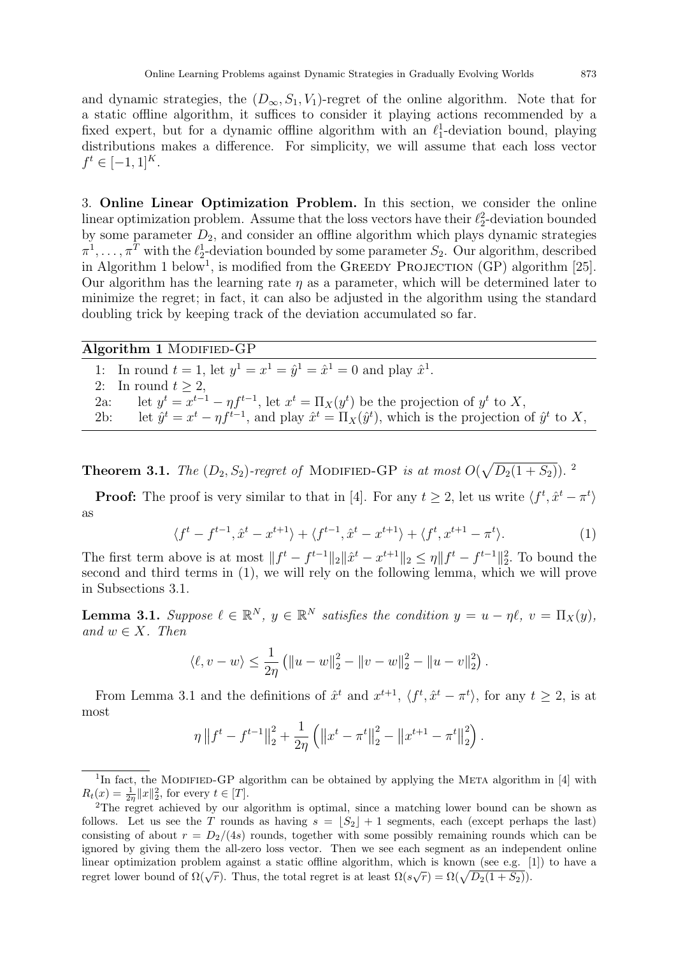and dynamic strategies, the  $(D_{\infty}, S_1, V_1)$ -regret of the online algorithm. Note that for a static offline algorithm, it suffices to consider it playing actions recommended by a fixed expert, but for a dynamic offline algorithm with an  $\ell_1^1$ -deviation bound, playing distributions makes a difference. For simplicity, we will assume that each loss vector  $f^t \in [-1,1]^K$ .

3. Online Linear Optimization Problem. In this section, we consider the online linear optimization problem. Assume that the loss vectors have their  $\ell_2^2$ -deviation bounded by some parameter  $D_2$ , and consider an offline algorithm which plays dynamic strategies  $\pi^1, \ldots, \pi^T$  with the  $\ell_2^1$ -deviation bounded by some parameter  $S_2$ . Our algorithm, described in Algorithm 1 below<sup>1</sup>, is modified from the GREEDY PROJECTION (GP) algorithm [25]. Our algorithm has the learning rate  $\eta$  as a parameter, which will be determined later to minimize the regret; in fact, it can also be adjusted in the algorithm using the standard doubling trick by keeping track of the deviation accumulated so far.

Algorithm 1 MODIFIED-GP 1: In round  $t = 1$ , let  $y^1 = x^1 = \hat{y}^1 = \hat{x}^1 = 0$  and play  $\hat{x}^1$ . 2: In round  $t > 2$ , 2a: let  $y^t = x^{t-1} - \eta f^{t-1}$ , let  $x^t = \Pi_X(y^t)$  be the projection of  $y^t$  to X, 2b: let  $\hat{y}^t = x^t - \eta f^{t-1}$ , and play  $\hat{x}^t = \Pi_X(\hat{y}^t)$ , which is the projection of  $\hat{y}^t$  to X,

**Theorem 3.1.** The  $(D_2, S_2)$ -regret of MODIFIED-GP is at most  $O(\sqrt{D_2(1+S_2)})$ .

**Proof:** The proof is very similar to that in [4]. For any  $t \geq 2$ , let us write  $\langle f^t, \hat{x}^t - \pi^t \rangle$ as

$$
\langle f^t - f^{t-1}, \hat{x}^t - x^{t+1} \rangle + \langle f^{t-1}, \hat{x}^t - x^{t+1} \rangle + \langle f^t, x^{t+1} - \pi^t \rangle. \tag{1}
$$

The first term above is at most  $||f^t - f^{t-1}||_2 ||\hat{x}^t - x^{t+1}||_2 \le \eta ||f^t - f^{t-1}||_2^2$ . To bound the second and third terms in (1), we will rely on the following lemma, which we will prove in Subsections 3.1.

**Lemma 3.1.** Suppose  $\ell \in \mathbb{R}^N$ ,  $y \in \mathbb{R}^N$  satisfies the condition  $y = u - \eta \ell$ ,  $v = \Pi_X(y)$ , and  $w \in X$ . Then

$$
\langle \ell, v - w \rangle \le \frac{1}{2\eta} \left( \|u - w\|_2^2 - \|v - w\|_2^2 - \|u - v\|_2^2 \right).
$$

From Lemma 3.1 and the definitions of  $\hat{x}^t$  and  $x^{t+1}$ ,  $\langle f^t, \hat{x}^t - \pi^t \rangle$ , for any  $t \geq 2$ , is at most

$$
\eta \|f^t - f^{t-1}\|_2^2 + \frac{1}{2\eta} \left( \|x^t - \pi^t\|_2^2 - \|x^{t+1} - \pi^t\|_2^2 \right).
$$

<sup>&</sup>lt;sup>1</sup>In fact, the MODIFIED-GP algorithm can be obtained by applying the META algorithm in [4] with  $R_t(x) = \frac{1}{2\eta} ||x||_2^2$ , for every  $t \in [T]$ .

<sup>2</sup>The regret achieved by our algorithm is optimal, since a matching lower bound can be shown as follows. Let us see the T rounds as having  $s = |S_2| + 1$  segments, each (except perhaps the last) consisting of about  $r = D_2/(4s)$  rounds, together with some possibly remaining rounds which can be ignored by giving them the all-zero loss vector. Then we see each segment as an independent online linear optimization problem against a static offline algorithm, which is known (see e.g. [1]) to have a regret lower bound of  $\Omega(\sqrt{r})$ . Thus, the total regret is at least  $\Omega(s\sqrt{r}) = \Omega(\sqrt{D_2(1+S_2)})$ .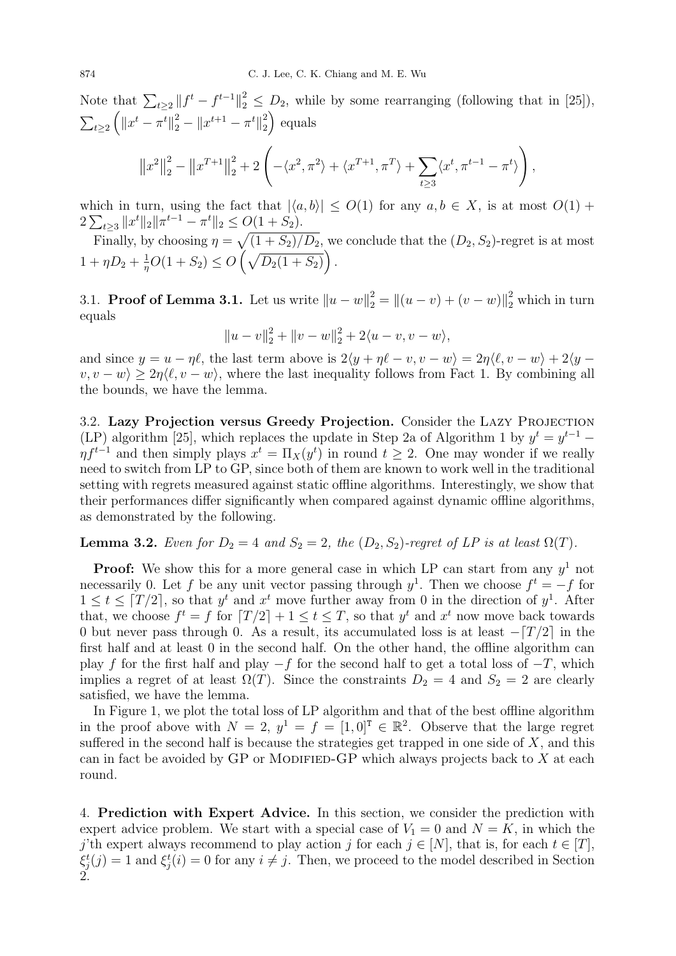Note that  $\sum_{t\geq 2} ||f^t - f^{t-1}||_2^2 \leq D_2$ , while by some rearranging (following that in [25]),  $\sum_{t\geq 2} \left( \left\| x^t - \pi^t \right\|_2^2 - \left\| x^{t+1} - \pi^t \right\|_2^2 \right)$  $\binom{2}{2}$  equals  $\|x^2\|$ 2  $\frac{2}{2} - \|x^{T+1}\|$ 2  $\frac{2}{2}+2\left(-\langle x^2,\pi^2\rangle+\langle x^{T+1},\pi^T\rangle+\sum\right)$  $t \geq 3$  $\langle x^t, \pi^{t-1} - \pi^t \rangle$  $\setminus$ ,

which in turn, using the fact that  $|\langle a, b \rangle| \leq O(1)$  for any  $a, b \in X$ , is at most  $O(1)$  +  $2\sum_{t\ge3}||x^t||_2||\pi^{t-1}-\pi^t||_2\le O(1+S_2).$ 

Finally, by choosing  $\eta = \sqrt{(1 + S_2)/D_2}$ , we conclude that the  $(D_2, S_2)$ -regret is at most  $1 + \eta D_2 + \frac{1}{n}$  $\frac{1}{\eta}O(1+S_2) \leq O(\sqrt{D_2(1+S_2)})$ .

3.1. **Proof of Lemma 3.1.** Let us write  $||u - w||_2^2 = ||(u - v) + (v - w)||_2^2$  which in turn equals

$$
||u - v||_2^2 + ||v - w||_2^2 + 2\langle u - v, v - w \rangle,
$$

and since  $y = u - \eta \ell$ , the last term above is  $2\langle y + \eta \ell - v, v - w \rangle = 2\eta \langle \ell, v - w \rangle + 2\langle y - \ell, v \rangle$  $\langle v, v - w \rangle \geq 2\eta \langle \ell, v - w \rangle$ , where the last inequality follows from Fact 1. By combining all the bounds, we have the lemma.

3.2. Lazy Projection versus Greedy Projection. Consider the Lazy Projection (LP) algorithm [25], which replaces the update in Step 2a of Algorithm 1 by  $y^t = y^{t-1}$  $\eta f^{t-1}$  and then simply plays  $x^t = \Pi_X(y^t)$  in round  $t \geq 2$ . One may wonder if we really need to switch from LP to GP, since both of them are known to work well in the traditional setting with regrets measured against static offline algorithms. Interestingly, we show that their performances differ significantly when compared against dynamic offline algorithms, as demonstrated by the following.

## **Lemma 3.2.** Even for  $D_2 = 4$  and  $S_2 = 2$ , the  $(D_2, S_2)$ -regret of LP is at least  $\Omega(T)$ .

**Proof:** We show this for a more general case in which LP can start from any  $y<sup>1</sup>$  not necessarily 0. Let f be any unit vector passing through  $y^1$ . Then we choose  $f^t = -f$  for  $1 \leq t \leq \lceil T/2 \rceil$ , so that  $y^t$  and  $x^t$  move further away from 0 in the direction of  $y^1$ . After that, we choose  $f^t = f$  for  $T/2 + 1 \le t \le T$ , so that  $y^t$  and  $x^t$  now move back towards 0 but never pass through 0. As a result, its accumulated loss is at least  $-[T/2]$  in the first half and at least 0 in the second half. On the other hand, the offline algorithm can play f for the first half and play  $-f$  for the second half to get a total loss of  $-T$ , which implies a regret of at least  $\Omega(T)$ . Since the constraints  $D_2 = 4$  and  $S_2 = 2$  are clearly satisfied, we have the lemma.

In Figure 1, we plot the total loss of LP algorithm and that of the best offline algorithm in the proof above with  $N = 2$ ,  $y^1 = f = [1, 0]^T \in \mathbb{R}^2$ . Observe that the large regret suffered in the second half is because the strategies get trapped in one side of  $X$ , and this can in fact be avoided by GP or MODIFIED-GP which always projects back to  $X$  at each round.

4. Prediction with Expert Advice. In this section, we consider the prediction with expert advice problem. We start with a special case of  $V_1 = 0$  and  $N = K$ , in which the j'th expert always recommend to play action j for each  $j \in [N]$ , that is, for each  $t \in [T]$ ,  $\xi_j^t(j) = 1$  and  $\xi_j^t(i) = 0$  for any  $i \neq j$ . Then, we proceed to the model described in Section 2.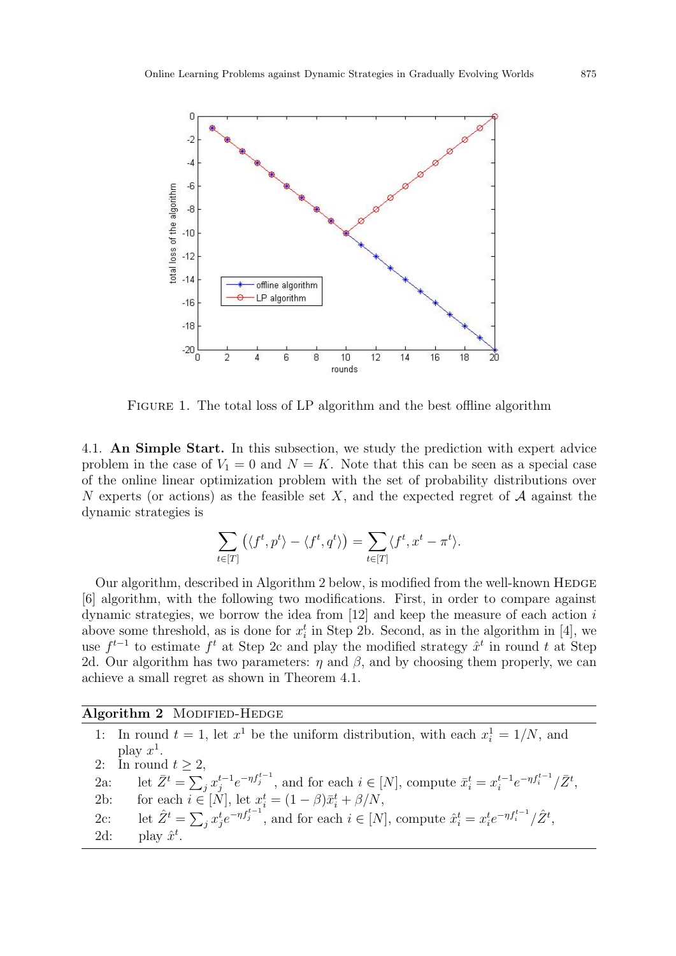

FIGURE 1. The total loss of LP algorithm and the best offline algorithm

4.1. An Simple Start. In this subsection, we study the prediction with expert advice problem in the case of  $V_1 = 0$  and  $N = K$ . Note that this can be seen as a special case of the online linear optimization problem with the set of probability distributions over N experts (or actions) as the feasible set X, and the expected regret of  $A$  against the dynamic strategies is

$$
\sum_{t \in [T]} \left( \langle f^t, p^t \rangle - \langle f^t, q^t \rangle \right) = \sum_{t \in [T]} \langle f^t, x^t - \pi^t \rangle.
$$

Our algorithm, described in Algorithm 2 below, is modified from the well-known HEDGE [6] algorithm, with the following two modifications. First, in order to compare against dynamic strategies, we borrow the idea from  $[12]$  and keep the measure of each action i above some threshold, as is done for  $x_i^t$  in Step 2b. Second, as in the algorithm in [4], we use  $f^{t-1}$  to estimate  $f^t$  at Step 2c and play the modified strategy  $\hat{x}^t$  in round t at Step 2d. Our algorithm has two parameters:  $\eta$  and  $\beta$ , and by choosing them properly, we can achieve a small regret as shown in Theorem 4.1.

### Algorithm 2 MODIFIED-HEDGE

|        | 1: In round $t = 1$ , let $x^1$ be the uniform distribution, with each $x_i^1 = 1/N$ , and                                                                  |
|--------|-------------------------------------------------------------------------------------------------------------------------------------------------------------|
|        | play $x^1$ .                                                                                                                                                |
|        | 2: In round $t > 2$ ,                                                                                                                                       |
|        | 2a: let $\bar{Z}^t = \sum_i x_i^{t-1} e^{-\eta f_j^{t-1}}$ , and for each $i \in [N]$ , compute $\bar{x}_i^t = x_i^{t-1} e^{-\eta f_i^{t-1}} / \bar{Z}^t$ , |
| 2b:    | for each $i \in [N]$ , let $x_i^t = (1 - \beta)\bar{x}_i^t + \beta/N$ ,                                                                                     |
| $2c$ : | let $\hat{Z}^t = \sum_i x_i^t e^{-\eta f_i^{t-1}}$ , and for each $i \in [N]$ , compute $\hat{x}_i^t = x_i^t e^{-\eta f_i^{t-1}} / \hat{Z}^t$ ,             |
| 2d:    | play $\hat{x}^t$ .                                                                                                                                          |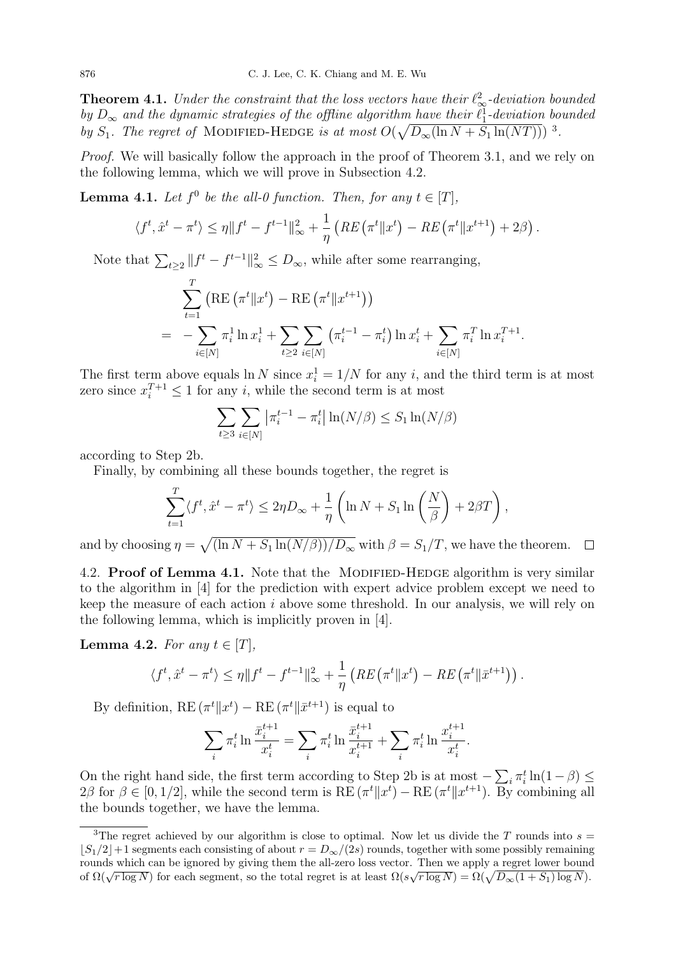**Theorem 4.1.** Under the constraint that the loss vectors have their  $\ell_{\infty}^2$ -deviation bounded by  $D_{\infty}$  and the dynamic strategies of the offline algorithm have their  $\ell_1^1$ -deviation bounded by  $S_1$ . The regret of MODIFIED-HEDGE is at most  $O(\sqrt{D_{\infty}(\ln N + S_1 \ln(NT))})$ <sup>3</sup>.

Proof. We will basically follow the approach in the proof of Theorem 3.1, and we rely on the following lemma, which we will prove in Subsection 4.2.

**Lemma 4.1.** Let  $f^0$  be the all-0 function. Then, for any  $t \in [T]$ ,

$$
\langle f^t, \hat{x}^t - \pi^t \rangle \le \eta \| f^t - f^{t-1} \|_{\infty}^2 + \frac{1}{\eta} \left( RE\left( \pi^t \| x^t \right) - RE\left( \pi^t \| x^{t+1} \right) + 2\beta \right).
$$

Note that  $\sum_{t\geq 2} ||f^t - f^{t-1}||^2_{\infty} \leq D_{\infty}$ , while after some rearranging,

$$
\sum_{t=1}^{T} (\text{RE}(\pi^t \| x^t) - \text{RE}(\pi^t \| x^{t+1}))
$$
\n
$$
= -\sum_{i \in [N]} \pi_i^1 \ln x_i^1 + \sum_{t \ge 2} \sum_{i \in [N]} (\pi_i^{t-1} - \pi_i^t) \ln x_i^t + \sum_{i \in [N]} \pi_i^T \ln x_i^{T+1}.
$$

The first term above equals  $\ln N$  since  $x_i^1 = 1/N$  for any i, and the third term is at most zero since  $x_i^{T+1} \leq 1$  for any *i*, while the second term is at most

$$
\sum_{t\geq 3} \sum_{i\in[N]} \left| \pi_i^{t-1} - \pi_i^t \right| \ln(N/\beta) \leq S_1 \ln(N/\beta)
$$

according to Step 2b.

Finally, by combining all these bounds together, the regret is

$$
\sum_{t=1}^T \langle f^t, \hat{x}^t - \pi^t \rangle \le 2\eta D_\infty + \frac{1}{\eta} \left( \ln N + S_1 \ln \left( \frac{N}{\beta} \right) + 2\beta T \right),
$$

and by choosing  $\eta = \sqrt{\frac{\ln N + S_1 \ln(N/\beta)}{D_{\infty}}}\$  with  $\beta = S_1/T$ , we have the theorem.  $\Box$ 

4.2. **Proof of Lemma 4.1.** Note that the MODIFIED-HEDGE algorithm is very similar to the algorithm in [4] for the prediction with expert advice problem except we need to keep the measure of each action  $i$  above some threshold. In our analysis, we will rely on the following lemma, which is implicitly proven in [4].

**Lemma 4.2.** For any  $t \in [T]$ ,

$$
\langle f^t, \hat{x}^t - \pi^t \rangle \leq \eta \| f^t - f^{t-1} \|_{\infty}^2 + \frac{1}{\eta} \left( RE\left( \pi^t \| x^t \right) - RE\left( \pi^t \| \bar{x}^{t+1} \right) \right).
$$

By definition,  $RE(\pi^t || x^t) - RE(\pi^t || \bar{x}^{t+1})$  is equal to

$$
\sum_{i} \pi_i^t \ln \frac{\bar{x}_i^{t+1}}{x_i^t} = \sum_{i} \pi_i^t \ln \frac{\bar{x}_i^{t+1}}{x_i^{t+1}} + \sum_{i} \pi_i^t \ln \frac{x_i^{t+1}}{x_i^t}.
$$

On the right hand side, the first term according to Step 2b is at most  $-\sum_i \pi_i^t \ln(1-\beta) \le$  $2\beta$  for  $\beta \in [0, 1/2]$ , while the second term is  $RE(\pi^t || x^t) - RE(\pi^t || x^{t+1})$ . By combining all the bounds together, we have the lemma.

<sup>&</sup>lt;sup>3</sup>The regret achieved by our algorithm is close to optimal. Now let us divide the T rounds into  $s =$  $|S_1/2|+1$  segments each consisting of about  $r = D_{\infty}/(2s)$  rounds, together with some possibly remaining rounds which can be ignored by giving them the all-zero loss vector. Then we apply a regret lower bound Founds which can be ignored by giving them the an-zero loss vector. Then we apply a regret lower bound of  $\Omega(\sqrt{r \log N})$  for each segment, so the total regret is at least  $\Omega(s\sqrt{r \log N}) = \Omega(\sqrt{D_{\infty}(1 + S_1) \log N})$ .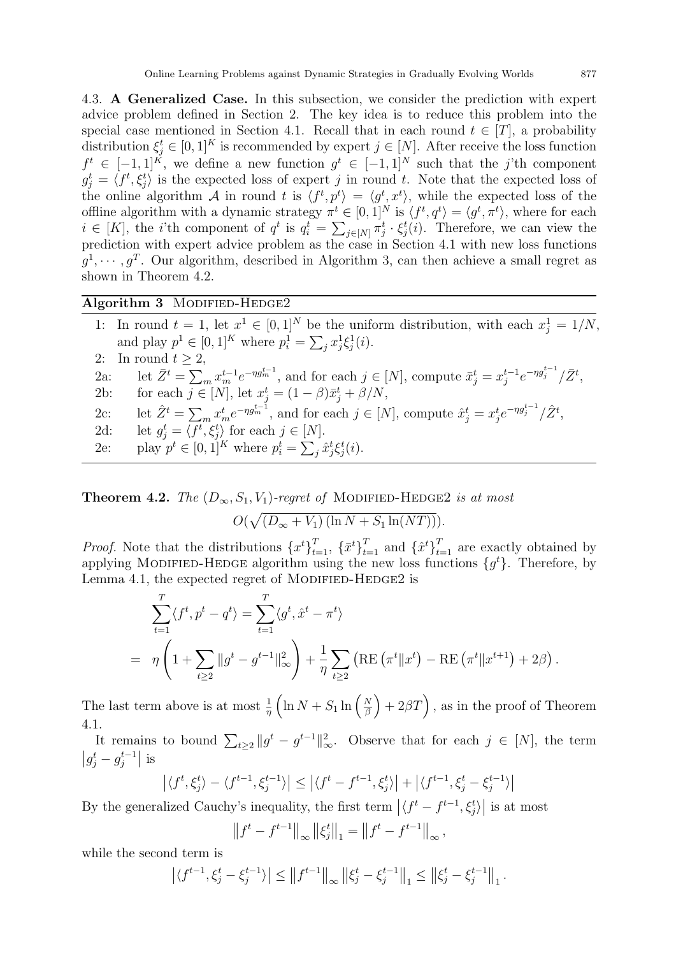4.3. A Generalized Case. In this subsection, we consider the prediction with expert advice problem defined in Section 2. The key idea is to reduce this problem into the special case mentioned in Section 4.1. Recall that in each round  $t \in [T]$ , a probability distribution  $\xi_j^t \in [0,1]^K$  is recommended by expert  $j \in [N]$ . After receive the loss function  $f^t \in [-1,1]^K$ , we define a new function  $g^t \in [-1,1]^N$  such that the j'th component  $g_j^t = \langle f^t, \xi_j^t \rangle$  is the expected loss of expert j in round t. Note that the expected loss of the online algorithm A in round t is  $\langle f^t, p^t \rangle = \langle g^t, x^t \rangle$ , while the expected loss of the offline algorithm with a dynamic strategy  $\pi^t \in [0,1]^N$  is  $\langle f^t, q^t \rangle = \langle g^t, \pi^t \rangle$ , where for each  $i \in [K]$ , the *i*'th component of  $q^t$  is  $q_i^t = \sum_{j \in [N]} \pi_j^t \cdot \xi_j^t(i)$ . Therefore, we can view the prediction with expert advice problem as the case in Section 4.1 with new loss functions  $g^1, \dots, g^T$ . Our algorithm, described in Algorithm 3, can then achieve a small regret as shown in Theorem 4.2.

### Algorithm 3 MODIFIED-HEDGE2

|        | 1: In round $t = 1$ , let $x^1 \in [0,1]^N$ be the uniform distribution, with each $x_i^1 = 1/N$ ,                                                      |
|--------|---------------------------------------------------------------------------------------------------------------------------------------------------------|
|        | and play $p^1 \in [0,1]^K$ where $p_i^1 = \sum_i x_i^1 \xi_i^1(i)$ .                                                                                    |
|        | 2: In round $t \geq 2$ ,                                                                                                                                |
| $2a$ : | let $\bar{Z}^t = \sum_m x_m^{t-1} e^{-\eta g_m^{t-1}}$ , and for each $j \in [N]$ , compute $\bar{x}_j^t = x_j^{t-1} e^{-\eta g_j^{t-1}} / \bar{Z}^t$ , |
| 2b:    | for each $j \in [N]$ , let $x_i^t = (1 - \beta)\bar{x}_i^t + \beta/N$ ,                                                                                 |
| $2c$ : | let $\hat{Z}^t = \sum_m x_m^t e^{-\eta g_m^{t-1}}$ , and for each $j \in [N]$ , compute $\hat{x}_j^t = x_j^t e^{-\eta g_j^{t-1}} / \hat{Z}^t$ ,         |
| 2d:    | let $g_i^t = \langle f^t, \xi_i^t \rangle$ for each $j \in [N]$ .                                                                                       |
| 2e:    | play $p^t \in [0,1]^K$ where $p_i^t = \sum_i \hat{x}_j^t \xi_j^t(i)$ .                                                                                  |

**Theorem 4.2.** The  $(D_{\infty}, S_1, V_1)$ -regret of MODIFIED-HEDGE2 is at most  $O(\sqrt{(D_{\infty}+V_1)\left(\ln N + S_1 \ln(NT)\right)}).$ 

*Proof.* Note that the distributions  $\{x^t\}_{t=1}^T$ ,  $\{\bar{x}^t\}_{t=1}^T$  and  $\{\hat{x}^t\}_{t=1}^T$  are exactly obtained by applying MODIFIED-HEDGE algorithm using the new loss functions  $\{g^t\}$ . Therefore, by Lemma 4.1, the expected regret of MODIFIED-HEDGE2 is

$$
\sum_{t=1}^{T} \langle f^t, p^t - q^t \rangle = \sum_{t=1}^{T} \langle g^t, \hat{x}^t - \pi^t \rangle
$$
  
=  $\eta \left( 1 + \sum_{t \ge 2} ||g^t - g^{t-1}||_{\infty}^2 \right) + \frac{1}{\eta} \sum_{t \ge 2} \left( \text{RE} \left( \pi^t || x^t \right) - \text{RE} \left( \pi^t || x^{t+1} \right) + 2\beta \right).$ 

The last term above is at most  $\frac{1}{\eta}$   $\left(\ln N + S_1 \ln \left(\frac{N}{\beta}\right)\right)$  $\left(\frac{N}{\beta}\right) + 2\beta T$ , as in the proof of Theorem 4.1.

It remains to bound  $\sum_{t\geq 2} ||g^t - g^{t-1}||_{\infty}^2$ . Observe that for each  $j \in [N]$ , the term  $|g_j^t - g_j^{t-1}|$  $\left|\frac{t-1}{j}\right|$  is

$$
\left| \langle f^t, \xi_j^t \rangle - \langle f^{t-1}, \xi_j^{t-1} \rangle \right| \le \left| \langle f^t - f^{t-1}, \xi_j^t \rangle \right| + \left| \langle f^{t-1}, \xi_j^t - \xi_j^{t-1} \rangle \right|
$$

By the generalized Cauchy's inequality, the first term  $\left|\langle f^t - f^{t-1}, \xi_j^t \rangle\right|$  is at most

$$
\left\|f^{t} - f^{t-1}\right\|_{\infty} \left\|\xi_{j}^{t}\right\|_{1} = \left\|f^{t} - f^{t-1}\right\|_{\infty},
$$

while the second term is

$$
\left| \langle f^{t-1}, \xi_j^t - \xi_j^{t-1} \rangle \right| \leq \left\| f^{t-1} \right\|_{\infty} \left\| \xi_j^t - \xi_j^{t-1} \right\|_{1} \leq \left\| \xi_j^t - \xi_j^{t-1} \right\|_{1}.
$$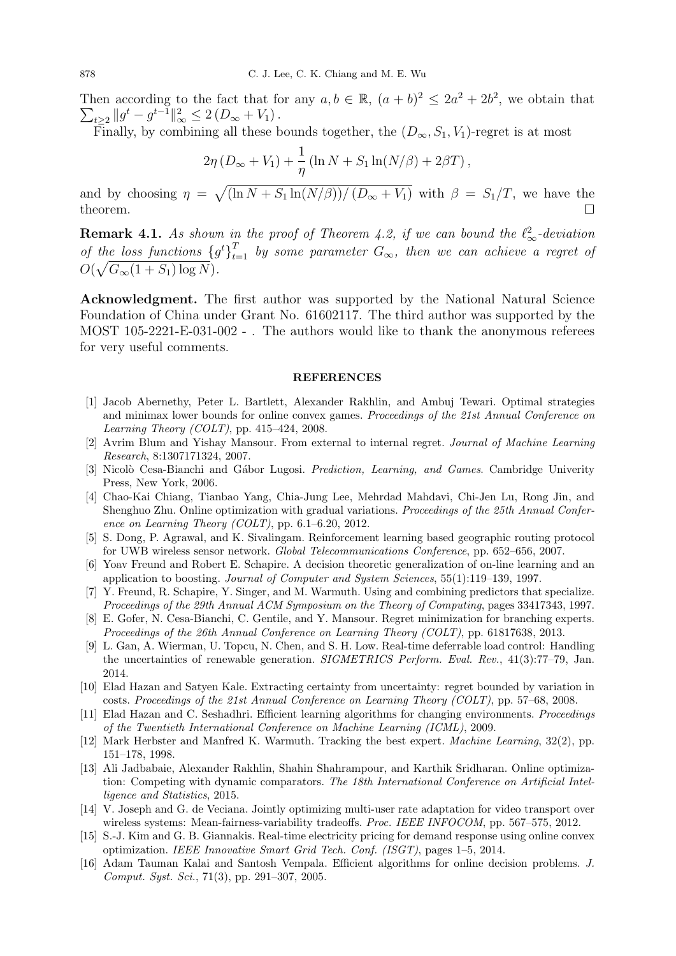Then according to the fact that for any  $a, b \in \mathbb{R}$ ,  $(a + b)^2 \leq 2a^2 + 2b^2$ , we obtain that  $\sum_{t\geq 2} ||g^t - g^{t-1}||_{\infty}^2 \leq 2(D_{\infty} + V_1).$ 

Finally, by combining all these bounds together, the  $(D_{\infty}, S_1, V_1)$ -regret is at most

$$
2\eta (D_{\infty} + V_1) + \frac{1}{\eta} (\ln N + S_1 \ln(N/\beta) + 2\beta T),
$$

and by choosing  $\eta = \sqrt{\left(\ln N + S_1 \ln(N/\beta)\right) / (D_\infty + V_1)}$  with  $\beta = S_1/T$ , we have the theorem.  $\Box$ 

**Remark 4.1.** As shown in the proof of Theorem 4.2, if we can bound the  $\ell_{\infty}^2$ -deviation of the loss functions  ${g^t}_{t=1}^T$  by some parameter  $G_{\infty}$ , then we can achieve a regret of  $O(\sqrt{G_{\infty}(1+S_1)\log N}).$ 

Acknowledgment. The first author was supported by the National Natural Science Foundation of China under Grant No. 61602117. The third author was supported by the MOST 105-2221-E-031-002 - . The authors would like to thank the anonymous referees for very useful comments.

#### REFERENCES

- [1] Jacob Abernethy, Peter L. Bartlett, Alexander Rakhlin, and Ambuj Tewari. Optimal strategies and minimax lower bounds for online convex games. Proceedings of the 21st Annual Conference on Learning Theory (COLT), pp. 415–424, 2008.
- [2] Avrim Blum and Yishay Mansour. From external to internal regret. Journal of Machine Learning Research, 8:1307171324, 2007.
- [3] Nicolò Cesa-Bianchi and Gábor Lugosi. Prediction, Learning, and Games. Cambridge Univerity Press, New York, 2006.
- [4] Chao-Kai Chiang, Tianbao Yang, Chia-Jung Lee, Mehrdad Mahdavi, Chi-Jen Lu, Rong Jin, and Shenghuo Zhu. Online optimization with gradual variations. Proceedings of the 25th Annual Conference on Learning Theory (COLT), pp. 6.1–6.20, 2012.
- [5] S. Dong, P. Agrawal, and K. Sivalingam. Reinforcement learning based geographic routing protocol for UWB wireless sensor network. Global Telecommunications Conference, pp. 652–656, 2007.
- [6] Yoav Freund and Robert E. Schapire. A decision theoretic generalization of on-line learning and an application to boosting. Journal of Computer and System Sciences, 55(1):119–139, 1997.
- [7] Y. Freund, R. Schapire, Y. Singer, and M. Warmuth. Using and combining predictors that specialize. Proceedings of the 29th Annual ACM Symposium on the Theory of Computing, pages 33417343, 1997.
- [8] E. Gofer, N. Cesa-Bianchi, C. Gentile, and Y. Mansour. Regret minimization for branching experts. Proceedings of the 26th Annual Conference on Learning Theory (COLT), pp. 61817638, 2013.
- [9] L. Gan, A. Wierman, U. Topcu, N. Chen, and S. H. Low. Real-time deferrable load control: Handling the uncertainties of renewable generation. SIGMETRICS Perform. Eval. Rev., 41(3):77-79, Jan. 2014.
- [10] Elad Hazan and Satyen Kale. Extracting certainty from uncertainty: regret bounded by variation in costs. Proceedings of the 21st Annual Conference on Learning Theory (COLT), pp. 57–68, 2008.
- [11] Elad Hazan and C. Seshadhri. Efficient learning algorithms for changing environments. Proceedings of the Twentieth International Conference on Machine Learning (ICML), 2009.
- [12] Mark Herbster and Manfred K. Warmuth. Tracking the best expert. Machine Learning, 32(2), pp. 151–178, 1998.
- [13] Ali Jadbabaie, Alexander Rakhlin, Shahin Shahrampour, and Karthik Sridharan. Online optimization: Competing with dynamic comparators. The 18th International Conference on Artificial Intelligence and Statistics, 2015.
- [14] V. Joseph and G. de Veciana. Jointly optimizing multi-user rate adaptation for video transport over wireless systems: Mean-fairness-variability tradeoffs. Proc. IEEE INFOCOM, pp. 567–575, 2012.
- [15] S.-J. Kim and G. B. Giannakis. Real-time electricity pricing for demand response using online convex optimization. IEEE Innovative Smart Grid Tech. Conf. (ISGT), pages 1–5, 2014.
- [16] Adam Tauman Kalai and Santosh Vempala. Efficient algorithms for online decision problems. J. Comput. Syst. Sci., 71(3), pp. 291–307, 2005.